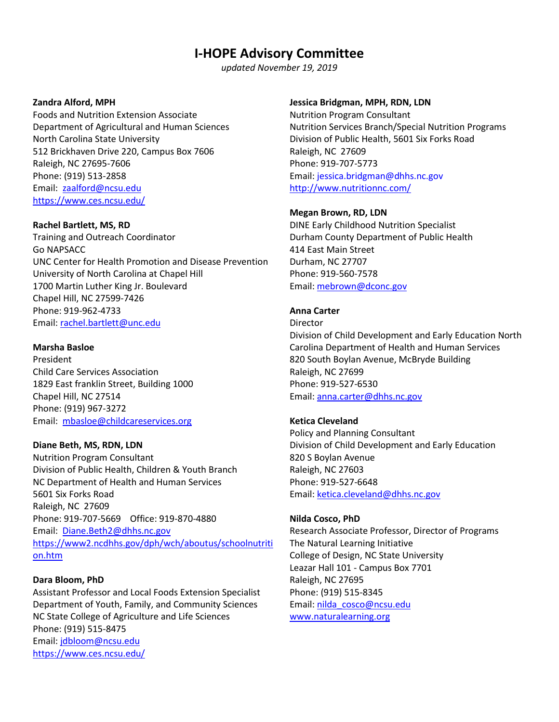# **I-HOPE Advisory Committee**

*updated November 19, 2019*

# **Zandra Alford, MPH**

Foods and Nutrition Extension Associate Department of Agricultural and Human Sciences North Carolina State University 512 Brickhaven Drive 220, Campus Box 7606 Raleigh, NC 27695-7606 Phone: (919) 513-2858 Email: [zaalford@ncsu.edu](mailto:zaalford@ncsu.edu) <https://www.ces.ncsu.edu/>

## **Rachel Bartlett, MS, RD**

Training and Outreach Coordinator Go NAPSACC UNC Center for Health Promotion and Disease Prevention University of North Carolina at Chapel Hill 1700 Martin Luther King Jr. Boulevard Chapel Hill, NC 27599-7426 Phone: 919-962-4733 Email: [rachel.bartlett@unc.edu](mailto:rachel.bartlett@unc.edu)

# **Marsha Basloe**

President Child Care Services Association 1829 East franklin Street, Building 1000 Chapel Hill, NC 27514 Phone: (919) 967-3272 Email: [mbasloe@childcareservices.org](mailto:mbasloe@childcareservices.org)

## **Diane Beth, MS, RDN, LDN**

Nutrition Program Consultant Division of Public Health, Children & Youth Branch NC Department of Health and Human Services 5601 Six Forks Road Raleigh, NC 27609 Phone: 919-707-5669 Office: 919-870-4880 Email: [Diane.Beth2@dhhs.nc.gov](mailto:Diane.Beth2@dhhs.nc.gov) [https://www2.ncdhhs.gov/dph/wch/aboutus/schoolnutriti](https://www2.ncdhhs.gov/dph/wch/aboutus/schoolnutrition.htm) [on.htm](https://www2.ncdhhs.gov/dph/wch/aboutus/schoolnutrition.htm)

# **Dara Bloom, PhD**

Assistant Professor and Local Foods Extension Specialist Department of Youth, Family, and Community Sciences NC State College of Agriculture and Life Sciences Phone: (919) 515-8475 Email: [jdbloom@ncsu.edu](mailto:jdbloom@ncsu.edu)  <https://www.ces.ncsu.edu/>

## **Jessica Bridgman, MPH, RDN, LDN**

Nutrition Program Consultant Nutrition Services Branch/Special Nutrition Programs Division of Public Health, 5601 Six Forks Road Raleigh, NC 27609 Phone: 919-707-5773 Email: [jessica.bridgman@dhhs.nc.gov](mailto:jessica.bridgman@dhhs.nc.gov) <http://www.nutritionnc.com/>

## **Megan Brown, RD, LDN**

DINE Early Childhood Nutrition Specialist Durham County Department of Public Health 414 East Main Street Durham, NC 27707 Phone: 919-560-7578 Email: [mebrown@dconc.gov](mailto:mebrown@dconc.gov)

# **Anna Carter**

Director Division of Child Development and Early Education North Carolina Department of Health and Human Services 820 South Boylan Avenue, McBryde Building Raleigh, NC 27699 Phone: 919-527-6530 Email: [anna.carter@dhhs.nc.gov](mailto:anna.carter@dhhs.nc.gov)

# **Ketica Cleveland**

Policy and Planning Consultant Division of Child Development and Early Education 820 S Boylan Avenue Raleigh, NC 27603 Phone: 919-527-6648 Email: [ketica.cleveland@dhhs.nc.gov](mailto:ketica.cleveland@dhhs.nc.gov)

## **Nilda Cosco, PhD**

Research Associate Professor, Director of Programs The Natural Learning Initiative College of Design, NC State University Leazar Hall 101 - Campus Box 7701 Raleigh, NC 27695 Phone: (919) 515-8345 Email: [nilda\\_cosco@ncsu.edu](mailto:nilda_cosco@ncsu.edu) [www.naturalearning.org](http://www.naturalearning.org/)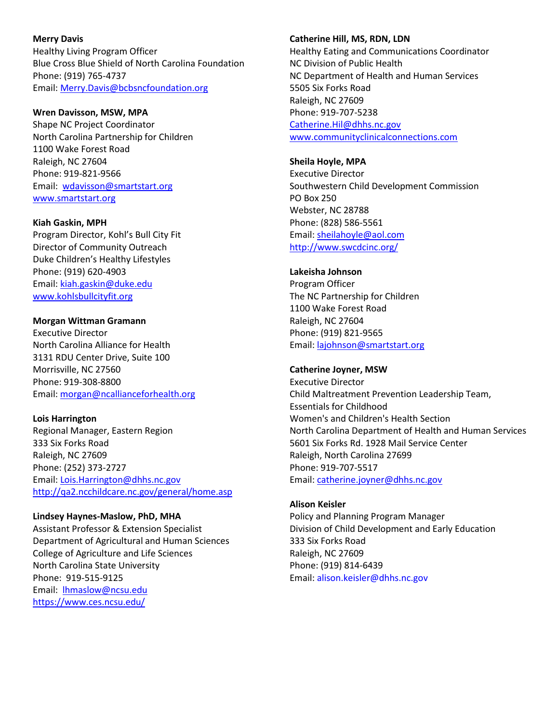**Merry Davis** Healthy Living Program Officer Blue Cross Blue Shield of North Carolina Foundation Phone: (919) 765-4737 Email: [Merry.Davis@bcbsncfoundation.org](mailto:Merry.Davis@bcbsncfoundation.org)

#### **Wren Davisson, MSW, MPA**

Shape NC Project Coordinator North Carolina Partnership for Children 1100 Wake Forest Road Raleigh, NC 27604 Phone: 919-821-9566 Email: [wdavisson@smartstart.org](mailto:wdavisson@smartstart.org) [www.smartstart.org](http://www.smartstart.org/) 

**Kiah Gaskin, MPH**

Program Director, Kohl's Bull City Fit Director of Community Outreach Duke Children's Healthy Lifestyles Phone: (919) 620-4903 Email: [kiah.gaskin@duke.edu](mailto:kiah.gaskin@duke.edu) [www.kohlsbullcityfit.org](http://www.kohlsbullcityfit.org/) 

#### **Morgan Wittman Gramann**

Executive Director North Carolina Alliance for Health 3131 RDU Center Drive, Suite 100 Morrisville, NC 27560 Phone: 919-308-8800 Email: [morgan@ncallianceforhealth.org](mailto:morgan@ncallianceforhealth.org)

### **Lois Harrington**

Regional Manager, Eastern Region 333 Six Forks Road Raleigh, NC 27609 Phone: (252) 373-2727 Email: [Lois.Harrington@dhhs.nc.gov](mailto:Lois.Harrington@dhhs.nc.gov) <http://qa2.ncchildcare.nc.gov/general/home.asp>

#### **Lindsey Haynes-Maslow, PhD, MHA**

Assistant Professor & Extension Specialist Department of Agricultural and Human Sciences College of Agriculture and Life Sciences North Carolina State University Phone: 919-515-9125 Email: [lhmaslow@ncsu.edu](mailto:lhmaslow@ncsu.edu)  <https://www.ces.ncsu.edu/>

#### **Catherine Hill, MS, RDN, LDN**

Healthy Eating and Communications Coordinator NC Division of Public Health NC Department of Health and Human Services 5505 Six Forks Road Raleigh, NC 27609 Phone: 919-707-5238 [Catherine.Hil@dhhs.nc.gov](mailto:Catherine.Hil@dhhs.nc.gov) [www.communityclinicalconnections.com](http://www.communityclinicalconnections.com/)

## **Sheila Hoyle, MPA**

Executive Director Southwestern Child Development Commission PO Box 250 Webster, NC 28788 Phone: (828) 586-5561 Email: [sheilahoyle@aol.com](mailto:sheilahoyle@aol.com) <http://www.swcdcinc.org/>

#### **Lakeisha Johnson**

Program Officer The NC Partnership for Children 1100 Wake Forest Road Raleigh, NC 27604 Phone: (919) 821-9565 Email: [lajohnson@smartstart.org](mailto:lajohnson@smartstart.org) 

#### **Catherine Joyner, MSW**

Executive Director Child Maltreatment Prevention Leadership Team, Essentials for Childhood Women's and Children's Health Section North Carolina Department of Health and Human Services 5601 Six Forks Rd. 1928 Mail Service Center Raleigh, North Carolina 27699 Phone: 919-707-5517 Email: [catherine.joyner@dhhs.nc.gov](mailto:catherine.joyner@dhhs.nc.gov)

#### **Alison Keisler**

Policy and Planning Program Manager Division of Child Development and Early Education 333 Six Forks Road Raleigh, NC 27609 Phone: (919) 814-6439 Email: [alison.keisler@dhhs.nc.gov](mailto:alison.keisler@dhhs.nc.gov)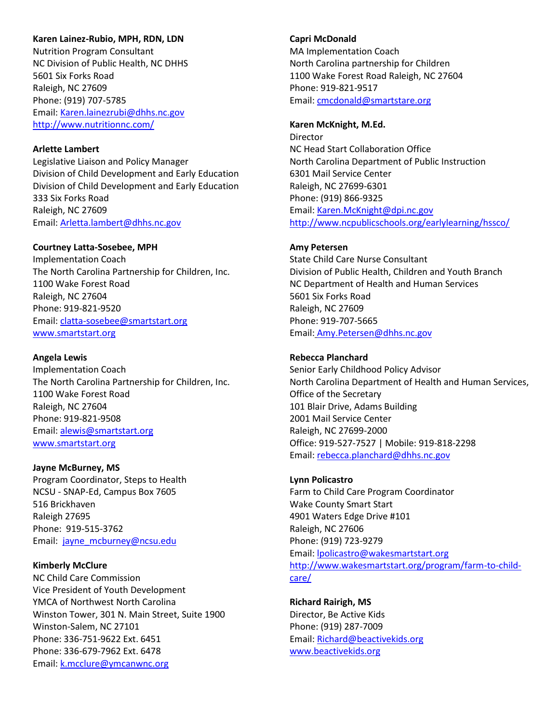## **Karen Lainez-Rubio, MPH, RDN, LDN**

Nutrition Program Consultant NC Division of Public Health, NC DHHS 5601 Six Forks Road Raleigh, NC 27609 Phone: (919) 707-5785 Email: [Karen.lainezrubi@dhhs.nc.gov](mailto:Karen.lainezrubi@dhhs.nc.gov) <http://www.nutritionnc.com/>

## **Arlette Lambert**

Legislative Liaison and Policy Manager Division of Child Development and Early Education Division of Child Development and Early Education 333 Six Forks Road Raleigh, NC 27609 Email: [Arletta.lambert@dhhs.nc.gov](mailto:Arletta.lambert@dhhs.nc.gov)

## **Courtney Latta-Sosebee, MPH**

Implementation Coach The North Carolina Partnership for Children, Inc. 1100 Wake Forest Road Raleigh, NC 27604 Phone: 919-821-9520 Email: [clatta-sosebee@smartstart.org](mailto:clatta-sosebee@smartstart.org) [www.smartstart.org](http://www.smartstart.org/)

#### **Angela Lewis**

Implementation Coach The North Carolina Partnership for Children, Inc. 1100 Wake Forest Road Raleigh, NC 27604 Phone: 919-821-9508 Email: [alewis@smartstart.org](mailto:alewis@smartstart.org) [www.smartstart.org](http://www.smartstart.org/)

#### **Jayne McBurney, MS**

Program Coordinator, Steps to Health NCSU - SNAP-Ed, Campus Box 7605 516 Brickhaven Raleigh 27695 Phone: 919-515-3762 Email: jayne\_mcburney@ncsu.edu

#### **Kimberly McClure**

NC Child Care Commission Vice President of Youth Development YMCA of Northwest North Carolina Winston Tower, 301 N. Main Street, Suite 1900 Winston-Salem, NC 27101 Phone: 336-751-9622 Ext. 6451 Phone: 336-679-7962 Ext. 6478 Email: [k.mcclure@ymcanwnc.org](mailto:k.mcclure@ymcanwnc.org)

#### **Capri McDonald**

MA Implementation Coach North Carolina partnership for Children 1100 Wake Forest Road Raleigh, NC 27604 Phone: 919-821-9517 Email: [cmcdonald@smartstare.org](mailto:cmcdonald@smartstare.org)

#### **Karen McKnight, M.Ed.**

Director NC Head Start Collaboration Office North Carolina Department of Public Instruction 6301 Mail Service Center Raleigh, NC 27699-6301 Phone: (919) 866-9325 Email: [Karen.McKnight@dpi.nc.gov](mailto:Karen.McKnight@dpi.nc.gov) <http://www.ncpublicschools.org/earlylearning/hssco/>

## **Amy Petersen**

State Child Care Nurse Consultant Division of Public Health, Children and Youth Branch NC Department of Health and Human Services 5601 Six Forks Road Raleigh, NC 27609 Phone: 919-707-5665 Email: [Amy.Petersen@dhhs.nc.gov](mailto:Amy.Petersen@dhhs.nc.gov)

## **Rebecca Planchard**

Senior Early Childhood Policy Advisor North Carolina Department of Health and Human Services, Office of the Secretary 101 Blair Drive, Adams Building 2001 Mail Service Center Raleigh, NC 27699-2000 Office: 919-527-7527 | Mobile: 919-818-2298 Email: [rebecca.planchard@dhhs.nc.gov](mailto:rebecca.planchard@dhhs.nc.gov)

## **Lynn Policastro**

Farm to Child Care Program Coordinator Wake County Smart Start 4901 Waters Edge Drive #101 Raleigh, NC 27606 Phone: (919) 723-9279 Email: [lpolicastro@wakesmartstart.org](mailto:lpolicastro@wakesmartstart.org)  [http://www.wakesmartstart.org/program/farm-to-child](http://www.wakesmartstart.org/program/farm-to-child-care/)[care/](http://www.wakesmartstart.org/program/farm-to-child-care/) 

**Richard Rairigh, MS** Director, Be Active Kids Phone: (919) 287-7009 Email: [Richard@beactivekids.org](mailto:Richard@beactivekids.org) [www.beactivekids.org](http://www.beactivekids.org/)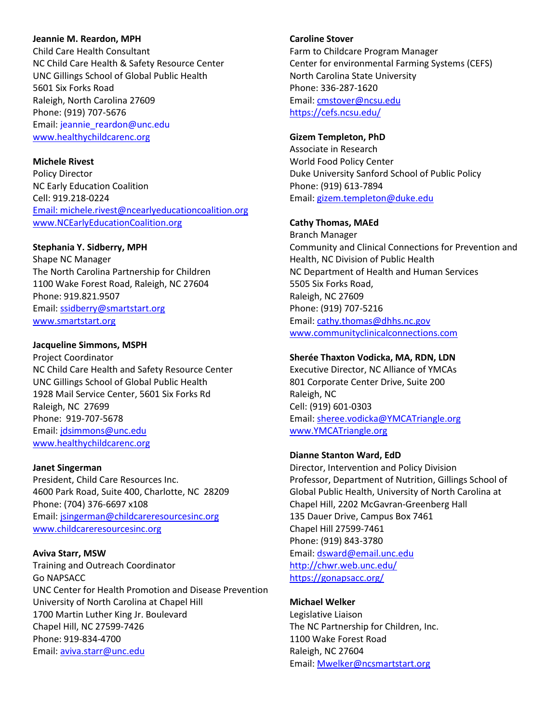#### **Jeannie M. Reardon, MPH**

Child Care Health Consultant NC Child Care Health & Safety Resource Center UNC Gillings School of Global Public Health 5601 Six Forks Road Raleigh, North Carolina 27609 Phone: (919) 707-5676 Email: [jeannie\\_reardon@unc.edu](mailto:jeannie_reardon@unc.edu) [www.healthychildcarenc.org](http://www.healthychildcarenc.org/)

## **Michele Rivest**

Policy Director NC Early Education Coalition Cell: 919.218-0224 [Email: michele.rivest@ncearlyeducationcoalition.org](mailto:Email:%20michele.rivest@ncearlyeducationcoalition.org) [www.NCEarlyEducationCoalition.org](https://nam05.safelinks.protection.outlook.com/?url=http%3A%2F%2Fwww.NCEarlyEducationCoalition.org&data=02%7C01%7Cdwhite%40smartstart.org%7C05094142570b40afd81508d6e9db65da%7Cd5e60c50e93e4700a247e8ba25462c1c%7C0%7C0%7C636953525865967892&sdata=b8zVVHdUYudhbFKyQdUBkRva%2FXvHJgfNdcZmZHYnv0U%3D&reserved=0)

## **Stephania Y. Sidberry, MPH**

Shape NC Manager The North Carolina Partnership for Children 1100 Wake Forest Road, Raleigh, NC 27604 Phone: 919.821.9507 Email: [ssidberry@smartstart.org](mailto:ssidberry@smartstart.org) [www.smartstart.org](http://www.smartstart.org/)

## **Jacqueline Simmons, MSPH**

Project Coordinator NC Child Care Health and Safety Resource Center UNC Gillings School of Global Public Health 1928 Mail Service Center, 5601 Six Forks Rd Raleigh, NC 27699 Phone: 919-707-5678 Email: [jdsimmons@unc.edu](mailto:jdsimmons@unc.edu) [www.healthychildcarenc.org](http://www.healthychildcarenc.org/) 

## **Janet Singerman**

President, Child Care Resources Inc. 4600 Park Road, Suite 400, Charlotte, NC 28209 Phone: (704) 376-6697 x108 Email: [jsingerman@childcareresourcesinc.org](mailto:jsingerman@childcareresourcesinc.org) [www.childcareresourcesinc.org](http://www.childcareresourcesinc.org/) 

## **Aviva Starr, MSW**

Training and Outreach Coordinator Go NAPSACC UNC Center for Health Promotion and Disease Prevention University of North Carolina at Chapel Hill 1700 Martin Luther King Jr. Boulevard Chapel Hill, NC 27599-7426 Phone: 919-834-4700 Email: [aviva.starr@unc.edu](mailto:aviva.starr@unc.edu)

## **Caroline Stover**

Farm to Childcare Program Manager Center for environmental Farming Systems (CEFS) North Carolina State University Phone: 336-287-1620 Email: [cmstover@ncsu.edu](mailto:cmstover@ncsu.edu) <https://cefs.ncsu.edu/>

## **Gizem Templeton, PhD**

Associate in Research World Food Policy Center Duke University Sanford School of Public Policy Phone: (919) 613-7894 Email: [gizem.templeton@duke.edu](mailto:gizem.templeton@duke.edu)

# **Cathy Thomas, MAEd**

Branch Manager Community and Clinical Connections for Prevention and Health, NC Division of Public Health NC Department of Health and Human Services 5505 Six Forks Road, Raleigh, NC 27609 Phone: (919) 707-5216 Email: [cathy.thomas@dhhs.nc.gov](mailto:cathy.thomas@dhhs.nc.gov) [www.communityclinicalconnections.com](http://www.communityclinicalconnections.com/)

## **Sherée Thaxton Vodicka, MA, RDN, LDN**

Executive Director, NC Alliance of YMCAs 801 Corporate Center Drive, Suite 200 Raleigh, NC Cell: (919) 601-0303 Email: [sheree.vodicka@YMCATriangle.org](mailto:sheree.vodicka@YMCATriangle.org)  [www.YMCATriangle.org](http://www.ymcatriangle.org/) 

## **Dianne Stanton Ward, EdD**

Director, Intervention and Policy Division Professor, Department of Nutrition, Gillings School of Global Public Health, University of North Carolina at Chapel Hill, 2202 McGavran-Greenberg Hall 135 Dauer Drive, Campus Box 7461 Chapel Hill 27599-7461 Phone: (919) 843-3780 Email: [dsward@email.unc.edu](mailto:dsward@email.unc.edu) <http://chwr.web.unc.edu/> <https://gonapsacc.org/>

## **Michael Welker**

Legislative Liaison The NC Partnership for Children, Inc. 1100 Wake Forest Road Raleigh, NC 27604 Email: [Mwelker@ncsmartstart.org](mailto:Mwelker@ncsmartstart.org)